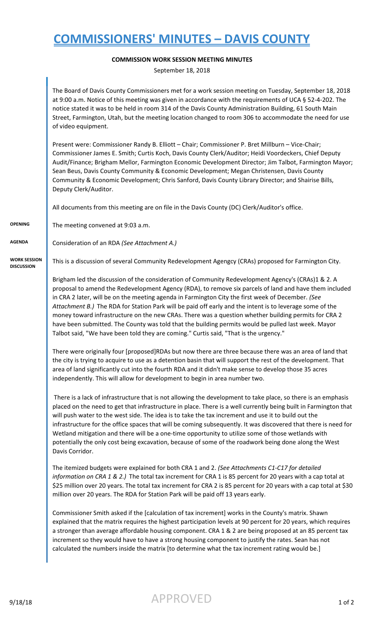## **COMMISSIONERS' MINUTES – DAVIS COUNTY**

## **COMMISSION WORK SESSION MEETING MINUTES**

September 18, 2018

|                                          | The Board of Davis County Commissioners met for a work session meeting on Tuesday, September 18, 2018<br>at 9:00 a.m. Notice of this meeting was given in accordance with the requirements of UCA § 52-4-202. The<br>notice stated it was to be held in room 314 of the Davis County Administration Building, 61 South Main<br>Street, Farmington, Utah, but the meeting location changed to room 306 to accommodate the need for use<br>of video equipment.                                                                                                                                                                                                                                                                          |  |
|------------------------------------------|---------------------------------------------------------------------------------------------------------------------------------------------------------------------------------------------------------------------------------------------------------------------------------------------------------------------------------------------------------------------------------------------------------------------------------------------------------------------------------------------------------------------------------------------------------------------------------------------------------------------------------------------------------------------------------------------------------------------------------------|--|
|                                          | Present were: Commissioner Randy B. Elliott - Chair; Commissioner P. Bret Millburn - Vice-Chair;<br>Commissioner James E. Smith; Curtis Koch, Davis County Clerk/Auditor; Heidi Voordeckers, Chief Deputy<br>Audit/Finance; Brigham Mellor, Farmington Economic Development Director; Jim Talbot, Farmington Mayor;<br>Sean Beus, Davis County Community & Economic Development; Megan Christensen, Davis County<br>Community & Economic Development; Chris Sanford, Davis County Library Director; and Shairise Bills,<br>Deputy Clerk/Auditor.                                                                                                                                                                                      |  |
|                                          | All documents from this meeting are on file in the Davis County (DC) Clerk/Auditor's office.                                                                                                                                                                                                                                                                                                                                                                                                                                                                                                                                                                                                                                          |  |
| <b>OPENING</b>                           | The meeting convened at 9:03 a.m.                                                                                                                                                                                                                                                                                                                                                                                                                                                                                                                                                                                                                                                                                                     |  |
| <b>AGENDA</b>                            | Consideration of an RDA (See Attachment A.)                                                                                                                                                                                                                                                                                                                                                                                                                                                                                                                                                                                                                                                                                           |  |
| <b>WORK SESSION</b><br><b>DISCUSSION</b> | This is a discussion of several Community Redevelopment Agengcy (CRAs) proposed for Farmington City.                                                                                                                                                                                                                                                                                                                                                                                                                                                                                                                                                                                                                                  |  |
|                                          | Brigham led the discussion of the consideration of Community Redevelopment Agency's (CRAs)1 & 2. A<br>proposal to amend the Redevelopment Agency (RDA), to remove six parcels of land and have them included<br>in CRA 2 later, will be on the meeting agenda in Farmington City the first week of December. (See<br>Attachment B.) The RDA for Station Park will be paid off early and the intent is to leverage some of the<br>money toward infrastructure on the new CRAs. There was a question whether building permits for CRA 2<br>have been submitted. The County was told that the building permits would be pulled last week. Mayor<br>Talbot said, "We have been told they are coming." Curtis said, "That is the urgency." |  |
|                                          | There were originally four [proposed]RDAs but now there are three because there was an area of land that<br>the city is trying to acquire to use as a detention basin that will support the rest of the development. That<br>area of land significantly cut into the fourth RDA and it didn't make sense to develop those 35 acres<br>independently. This will allow for development to begin in area number two.                                                                                                                                                                                                                                                                                                                     |  |
|                                          | There is a lack of infrastructure that is not allowing the development to take place, so there is an emphasis<br>placed on the need to get that infrastructure in place. There is a well currently being built in Farmington that<br>will push water to the west side. The idea is to take the tax increment and use it to build out the<br>infrastructure for the office spaces that will be coming subsequently. It was discovered that there is need for<br>Wetland mitigation and there will be a one-time opportunity to utilize some of those wetlands with<br>potentially the only cost being excavation, because of some of the roadwork being done along the West<br>Davis Corridor.                                         |  |
|                                          | The itemized budgets were explained for both CRA 1 and 2. (See Attachments C1-C17 for detailed<br>information on CRA 1 & 2.) The total tax increment for CRA 1 is 85 percent for 20 years with a cap total at<br>\$25 million over 20 years. The total tax increment for CRA 2 is 85 percent for 20 years with a cap total at \$30<br>million over 20 years. The RDA for Station Park will be paid off 13 years early.                                                                                                                                                                                                                                                                                                                |  |
|                                          | Commissioner Smith asked if the [calculation of tax increment] works in the County's matrix. Shawn<br>explained that the matrix requires the highest participation levels at 90 percent for 20 years, which requires<br>a stronger than average affordable housing component. CRA 1 & 2 are being proposed at an 85 percent tax<br>increment so they would have to have a strong housing component to justify the rates. Sean has not<br>calculated the numbers inside the matrix [to determine what the tax increment rating would be.]                                                                                                                                                                                              |  |
|                                          |                                                                                                                                                                                                                                                                                                                                                                                                                                                                                                                                                                                                                                                                                                                                       |  |

 $\overline{\phantom{a}}$